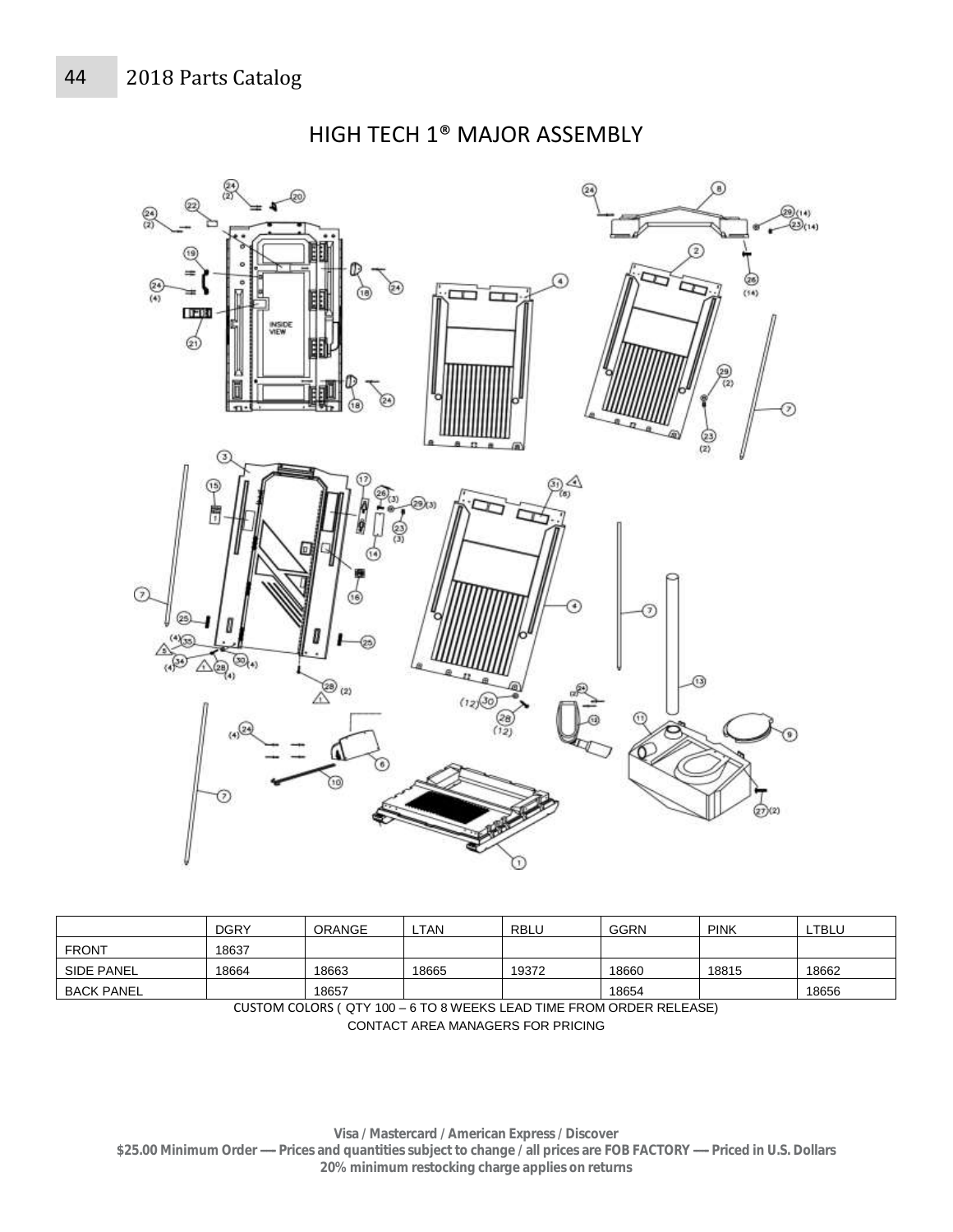

HIGH TECH 1® MAJOR ASSEMBLY

|                   | <b>DGRY</b> | <b>ORANGE</b> | <b>TAN</b> | <b>RBLL</b> | <b>GGRN</b> | <b>PINK</b> | LTBLU |
|-------------------|-------------|---------------|------------|-------------|-------------|-------------|-------|
| <b>FRONT</b>      | 18637       |               |            |             |             |             |       |
| <b>SIDE PANEL</b> | 18664       | 18663         | 18665      | 19372       | 18660       | 18815       | 18662 |
| <b>BACK PANEL</b> |             | 18657         |            |             | 18654       |             | 18656 |

CUSTOM COLORS ( QTY 100 – 6 TO 8 WEEKS LEAD TIME FROM ORDER RELEASE) CONTACT AREA MANAGERS FOR PRICING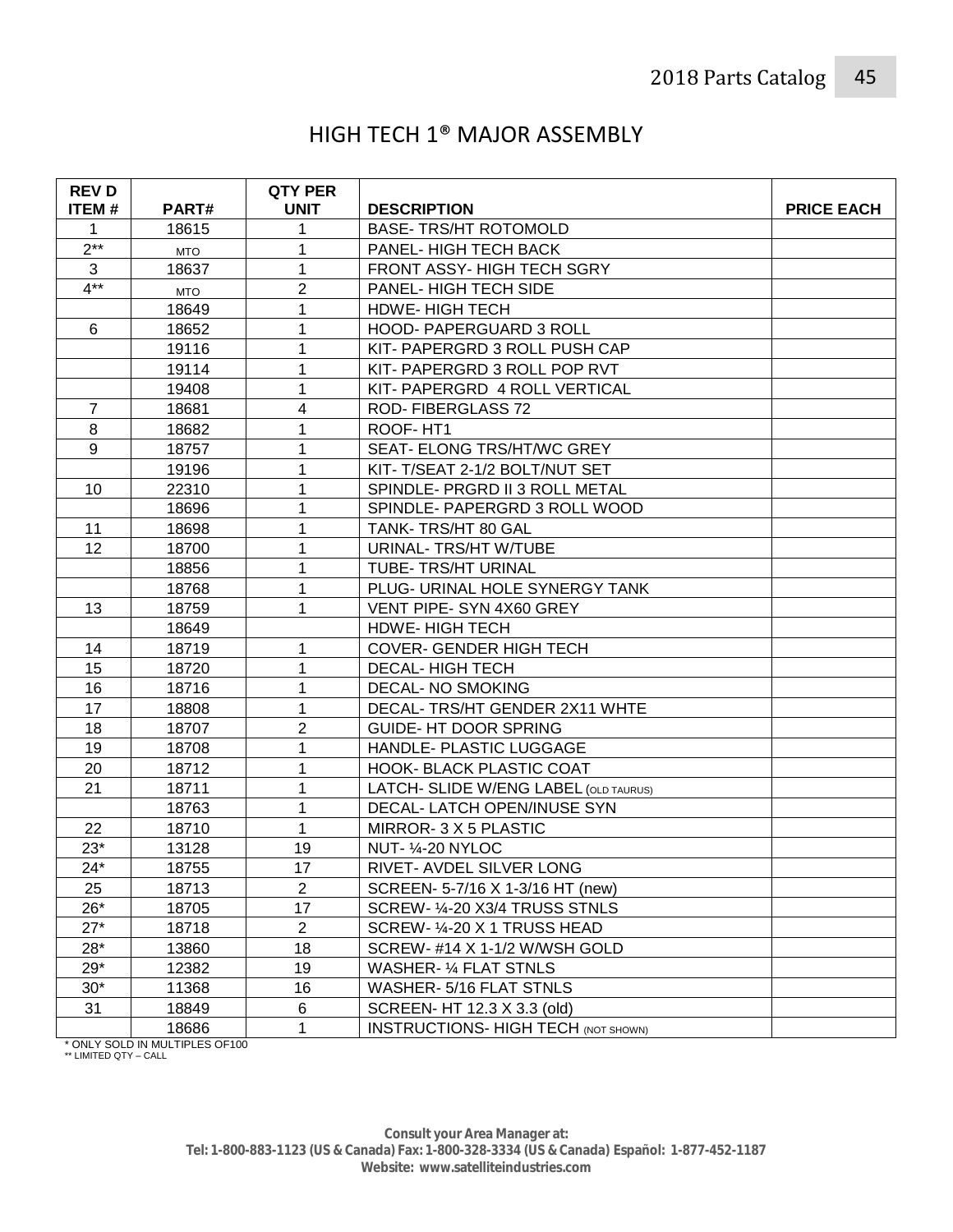## HIGH TECH 1® MAJOR ASSEMBLY

| <b>REVD</b><br><b>ITEM#</b> | PART#      | <b>QTY PER</b><br><b>UNIT</b> | <b>DESCRIPTION</b>                         | <b>PRICE EACH</b> |
|-----------------------------|------------|-------------------------------|--------------------------------------------|-------------------|
| 1                           | 18615      |                               | <b>BASE-TRS/HT ROTOMOLD</b>                |                   |
| $2***$                      | <b>MTO</b> |                               | PANEL- HIGH TECH BACK                      |                   |
| 3                           | 18637      | 1                             | FRONT ASSY- HIGH TECH SGRY                 |                   |
| $4**$                       | <b>MTO</b> | $\overline{2}$                | <b>PANEL-HIGH TECH SIDE</b>                |                   |
|                             | 18649      | 1                             | <b>HDWE-HIGH TECH</b>                      |                   |
| 6                           | 18652      | 1                             | HOOD- PAPERGUARD 3 ROLL                    |                   |
|                             | 19116      | 1                             | KIT- PAPERGRD 3 ROLL PUSH CAP              |                   |
|                             | 19114      | 1                             | KIT- PAPERGRD 3 ROLL POP RVT               |                   |
|                             | 19408      | 1                             | KIT- PAPERGRD 4 ROLL VERTICAL              |                   |
| 7                           | 18681      | 4                             | ROD-FIBERGLASS 72                          |                   |
| 8                           | 18682      | 1                             | ROOF-HT1                                   |                   |
| 9                           | 18757      | 1                             | SEAT- ELONG TRS/HT/WC GREY                 |                   |
|                             | 19196      | 1                             | KIT-T/SEAT 2-1/2 BOLT/NUT SET              |                   |
| 10                          | 22310      |                               | SPINDLE- PRGRD II 3 ROLL METAL             |                   |
|                             | 18696      |                               | SPINDLE- PAPERGRD 3 ROLL WOOD              |                   |
| 11                          | 18698      | 1                             | TANK- TRS/HT 80 GAL                        |                   |
| 12                          | 18700      | 1                             | URINAL- TRS/HT W/TUBE                      |                   |
|                             | 18856      | 1                             | TUBE- TRS/HT URINAL                        |                   |
|                             | 18768      | 1                             | PLUG- URINAL HOLE SYNERGY TANK             |                   |
| 13                          | 18759      | 1                             | VENT PIPE- SYN 4X60 GREY                   |                   |
|                             | 18649      |                               | <b>HDWE-HIGH TECH</b>                      |                   |
| 14                          | 18719      | 1                             | COVER- GENDER HIGH TECH                    |                   |
| 15                          | 18720      | 1                             | <b>DECAL-HIGH TECH</b>                     |                   |
| 16                          | 18716      | 1                             | <b>DECAL- NO SMOKING</b>                   |                   |
| 17                          | 18808      | 1                             | DECAL- TRS/HT GENDER 2X11 WHTE             |                   |
| 18                          | 18707      | $\overline{2}$                | <b>GUIDE- HT DOOR SPRING</b>               |                   |
| 19                          | 18708      | 1                             | HANDLE- PLASTIC LUGGAGE                    |                   |
| 20                          | 18712      | 1                             | HOOK- BLACK PLASTIC COAT                   |                   |
| 21                          | 18711      |                               | LATCH- SLIDE W/ENG LABEL (OLD TAURUS)      |                   |
|                             | 18763      | 1                             | DECAL- LATCH OPEN/INUSE SYN                |                   |
| 22                          | 18710      | 1                             | MIRROR-3 X 5 PLASTIC                       |                   |
| $23*$                       | 13128      | 19                            | <b>NUT- 1/4-20 NYLOC</b>                   |                   |
| $24*$                       | 18755      | 17                            | RIVET- AVDEL SILVER LONG                   |                   |
| 25                          | 18713      | $\overline{2}$                | SCREEN- 5-7/16 X 1-3/16 HT (new)           |                   |
| $26*$                       | 18705      | 17                            | SCREW- ¼-20 X3/4 TRUSS STNLS               |                   |
| $27*$                       | 18718      | $\overline{2}$                | SCREW- 1/4-20 X 1 TRUSS HEAD               |                   |
| $28*$                       | 13860      | 18                            | SCREW-#14 X 1-1/2 W/WSH GOLD               |                   |
| $29*$                       | 12382      | 19                            | WASHER- 1/4 FLAT STNLS                     |                   |
| $30*$                       | 11368      | 16                            | WASHER-5/16 FLAT STNLS                     |                   |
| 31                          | 18849      | 6                             | SCREEN- HT 12.3 X 3.3 (old)                |                   |
|                             | 18686      | 1                             | <b>INSTRUCTIONS- HIGH TECH (NOT SHOWN)</b> |                   |

\* ONLY SOLD IN MULTIPLES OF100 \*\* LIMITED QTY – CALL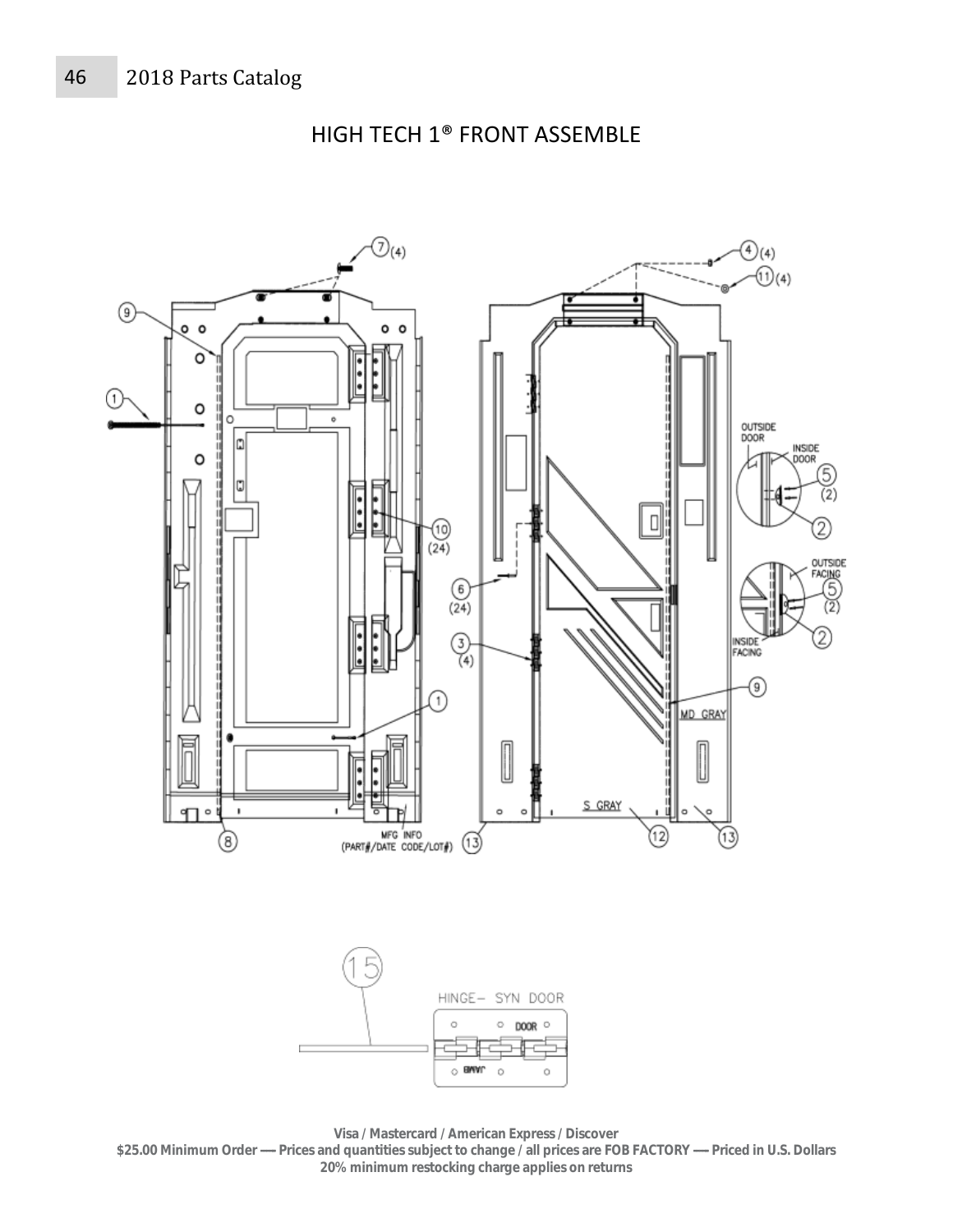

HIGH TECH 1® FRONT ASSEMBLE

**Visa / Mastercard / American Express / Discover** 

**\$25.00 Minimum Order ----- Prices and quantities subject to change / all prices are FOB FACTORY ----- Priced in U.S. Dollars 20% minimum restocking charge applies on returns**